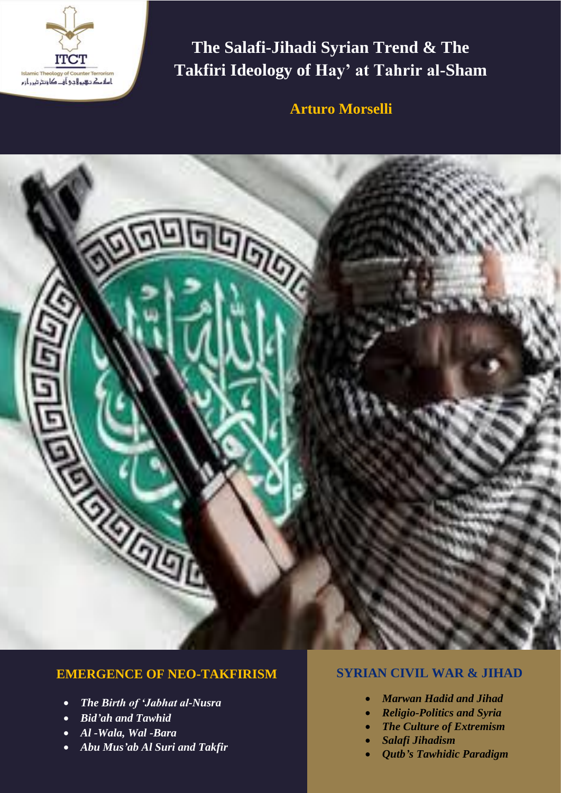

**The Salafi-Jihadi Syrian Trend & The Takfiri Ideology of Hay' at Tahrir al-Sham**

**Arturo Morselli**



## **EMERGENCE OF NEO-TAKFIRISM**

- *The Birth of 'Jabhat al-Nusra*
- *Bid'ah and Tawhid*
- *Al -Wala, Wal -Bara*
- *Abu Mus'ab Al Suri and Takfir*

## **SYRIAN CIVIL WAR & JIHAD**

- *Marwan Hadid and Jihad*
- *Religio-Politics and Syria*
- *The Culture of Extremism*
- *Salafi Jihadism*
- *Qutb's Tawhidic Paradigm*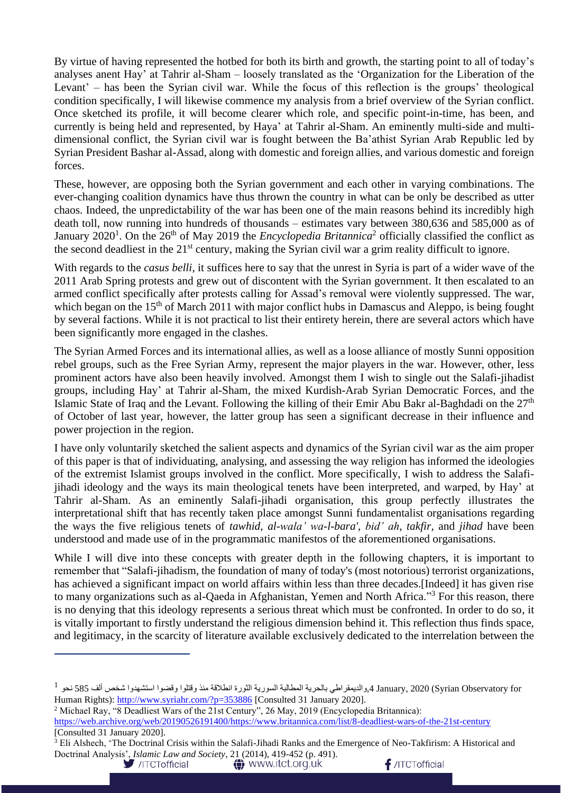By virtue of having represented the hotbed for both its birth and growth, the starting point to all of today's analyses anent Hay' at Tahrir al-Sham – loosely translated as the 'Organization for the Liberation of the Levant' – has been the Syrian civil war. While the focus of this reflection is the groups' theological condition specifically, I will likewise commence my analysis from a brief overview of the Syrian conflict. Once sketched its profile, it will become clearer which role, and specific point-in-time, has been, and currently is being held and represented, by Haya' at Tahrir al-Sham. An eminently multi-side and multidimensional conflict, the Syrian civil war is fought between the Ba'athist Syrian Arab Republic led by Syrian President Bashar al-Assad, along with domestic and foreign allies, and various domestic and foreign forces.

These, however, are opposing both the Syrian government and each other in varying combinations. The ever-changing coalition dynamics have thus thrown the country in what can be only be described as utter chaos. Indeed, the unpredictability of the war has been one of the main reasons behind its incredibly high death toll, now running into hundreds of thousands – estimates vary between 380,636 and 585,000 as of January 2020<sup>1</sup>. On the 26<sup>th</sup> of May 2019 the *Encyclopedia Britannica*<sup>2</sup> officially classified the conflict as the second deadliest in the 21<sup>st</sup> century, making the Syrian civil war a grim reality difficult to ignore.

With regards to the *casus belli*, it suffices here to say that the unrest in Syria is part of a wider wave of the 2011 Arab Spring protests and grew out of discontent with the Syrian government. It then escalated to an armed conflict specifically after protests calling for Assad's removal were violently suppressed. The war, which began on the 15<sup>th</sup> of March 2011 with major conflict hubs in Damascus and Aleppo, is being fought by several factions. While it is not practical to list their entirety herein, there are several actors which have been significantly more engaged in the clashes.

The Syrian Armed Forces and its international allies, as well as a loose alliance of mostly Sunni opposition rebel groups, such as the Free Syrian Army, represent the major players in the war. However, other, less prominent actors have also been heavily involved. Amongst them I wish to single out the Salafi-jihadist groups, including Hay' at Tahrir al-Sham, the mixed Kurdish-Arab Syrian Democratic Forces, and the Islamic State of Iraq and the Levant. Following the killing of their Emir Abu Bakr al-Baghdadi on the  $27<sup>th</sup>$ of October of last year, however, the latter group has seen a significant decrease in their influence and power projection in the region.

I have only voluntarily sketched the salient aspects and dynamics of the Syrian civil war as the aim proper of this paper is that of individuating, analysing, and assessing the way religion has informed the ideologies of the extremist Islamist groups involved in the conflict. More specifically, I wish to address the Salafijihadi ideology and the ways its main theological tenets have been interpreted, and warped, by Hay' at Tahrir al-Sham. As an eminently Salafi-jihadi organisation, this group perfectly illustrates the interpretational shift that has recently taken place amongst Sunni fundamentalist organisations regarding the ways the five religious tenets of *tawhid, al-wala' wa-l-bara'*, *bid' ah*, *takfir*, and *jihad* have been understood and made use of in the programmatic manifestos of the aforementioned organisations.

While I will dive into these concepts with greater depth in the following chapters, it is important to remember that "Salafi-jihadism, the foundation of many of today's (most notorious) terrorist organizations, has achieved a significant impact on world affairs within less than three decades.[Indeed] it has given rise to many organizations such as al-Qaeda in Afghanistan, Yemen and North Africa."<sup>3</sup> For this reason, there is no denying that this ideology represents a serious threat which must be confronted. In order to do so, it is vitally important to firstly understand the religious dimension behind it. This reflection thus finds space, and legitimacy, in the scarcity of literature available exclusively dedicated to the interrelation between the

<sup>3</sup> Eli Alshech, 'The Doctrinal Crisis within the Salafi-Jihadi Ranks and the Emergence of Neo-Takfirism: A Historical and Doctrinal Analysis', *Islamic Law and Society*, 21 (2014), 419-452 (p. 491). $f$ /ITCTofficial **O** www.itct.org.uk

```
/ITCTofficial
```
 $^1$  والديمقراطي بالحرية المطالبة السورية الثورة انطلاقة منذ وقتلوا وقضوا استشهدوا شخص ألف 585 نحو $585\,$  نحو $^1$ Human Rights):<http://www.syriahr.com/?p=353886> [Consulted 31 January 2020].

<sup>&</sup>lt;sup>2</sup> Michael Ray, "8 Deadliest Wars of the 21st Century", 26 May, 2019 (Encyclopedia Britannica):

[https://web.archive.org/web/20190526191400/https://www.britannica.com/list/8-deadliest-wars-of-the-21st-century](https://web.archive.org/web/20190526191400/https:/www.britannica.com/list/8-deadliest-wars-of-the-21st-century) [Consulted 31 January 2020].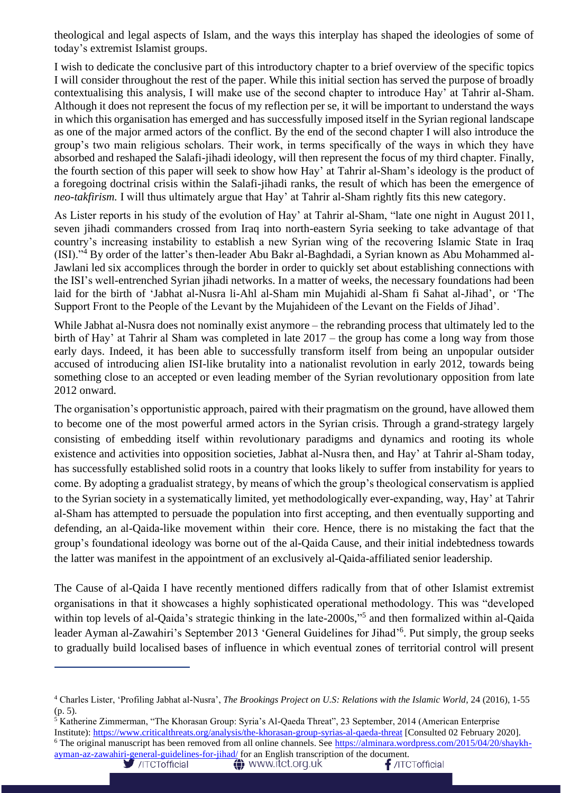theological and legal aspects of Islam, and the ways this interplay has shaped the ideologies of some of today's extremist Islamist groups.

I wish to dedicate the conclusive part of this introductory chapter to a brief overview of the specific topics I will consider throughout the rest of the paper. While this initial section has served the purpose of broadly contextualising this analysis, I will make use of the second chapter to introduce Hay' at Tahrir al-Sham. Although it does not represent the focus of my reflection per se, it will be important to understand the ways in which this organisation has emerged and has successfully imposed itself in the Syrian regional landscape as one of the major armed actors of the conflict. By the end of the second chapter I will also introduce the group's two main religious scholars. Their work, in terms specifically of the ways in which they have absorbed and reshaped the Salafi-jihadi ideology, will then represent the focus of my third chapter. Finally, the fourth section of this paper will seek to show how Hay' at Tahrir al-Sham's ideology is the product of a foregoing doctrinal crisis within the Salafi-jihadi ranks, the result of which has been the emergence of *neo-takfirism.* I will thus ultimately argue that Hay' at Tahrir al-Sham rightly fits this new category.

As Lister reports in his study of the evolution of Hay' at Tahrir al-Sham, "late one night in August 2011, seven jihadi commanders crossed from Iraq into north-eastern Syria seeking to take advantage of that country's increasing instability to establish a new Syrian wing of the recovering Islamic State in Iraq (ISI)."<sup>4</sup> By order of the latter's then-leader Abu Bakr al-Baghdadi, a Syrian known as Abu Mohammed al-Jawlani led six accomplices through the border in order to quickly set about establishing connections with the ISI's well-entrenched Syrian jihadi networks. In a matter of weeks, the necessary foundations had been laid for the birth of 'Jabhat al-Nusra li-Ahl al-Sham min Mujahidi al-Sham fi Sahat al-Jihad', or 'The Support Front to the People of the Levant by the Mujahideen of the Levant on the Fields of Jihad'.

While Jabhat al-Nusra does not nominally exist anymore – the rebranding process that ultimately led to the birth of Hay' at Tahrir al Sham was completed in late 2017 – the group has come a long way from those early days. Indeed, it has been able to successfully transform itself from being an unpopular outsider accused of introducing alien ISI-like brutality into a nationalist revolution in early 2012, towards being something close to an accepted or even leading member of the Syrian revolutionary opposition from late 2012 onward.

The organisation's opportunistic approach, paired with their pragmatism on the ground, have allowed them to become one of the most powerful armed actors in the Syrian crisis. Through a grand-strategy largely consisting of embedding itself within revolutionary paradigms and dynamics and rooting its whole existence and activities into opposition societies, Jabhat al-Nusra then, and Hay' at Tahrir al-Sham today, has successfully established solid roots in a country that looks likely to suffer from instability for years to come. By adopting a gradualist strategy, by means of which the group's theological conservatism is applied to the Syrian society in a systematically limited, yet methodologically ever-expanding, way, Hay' at Tahrir al-Sham has attempted to persuade the population into first accepting, and then eventually supporting and defending, an al-Qaida-like movement within their core. Hence, there is no mistaking the fact that the group's foundational ideology was borne out of the al-Qaida Cause, and their initial indebtedness towards the latter was manifest in the appointment of an exclusively al-Qaida-affiliated senior leadership.

The Cause of al-Qaida I have recently mentioned differs radically from that of other Islamist extremist organisations in that it showcases a highly sophisticated operational methodology. This was "developed within top levels of al-Qaida's strategic thinking in the late-2000s,"<sup>5</sup> and then formalized within al-Qaida leader Ayman al-Zawahiri's September 2013 'General Guidelines for Jihad'<sup>6</sup>. Put simply, the group seeks to gradually build localised bases of influence in which eventual zones of territorial control will present

<sup>&</sup>lt;sup>4</sup> Charles Lister, 'Profiling Jabhat al-Nusra', *The Brookings Project on U.S: Relations with the Islamic World*, 24 (2016), 1-55 (p. 5).

 $5$  Katherine Zimmerman, "The Khorasan Group: Syria's Al-Qaeda Threat", 23 September, 2014 (American Enterprise Institute):<https://www.criticalthreats.org/analysis/the-khorasan-group-syrias-al-qaeda-threat> [Consulted 02 February 2020]. <sup>6</sup> The original manuscript has been removed from all online channels. See [https://alminara.wordpress.com/2015/04/20/shaykh-](https://alminara.wordpress.com/2015/04/20/shaykh-ayman-az-zawahiri-general-guidelines-for-jihad/)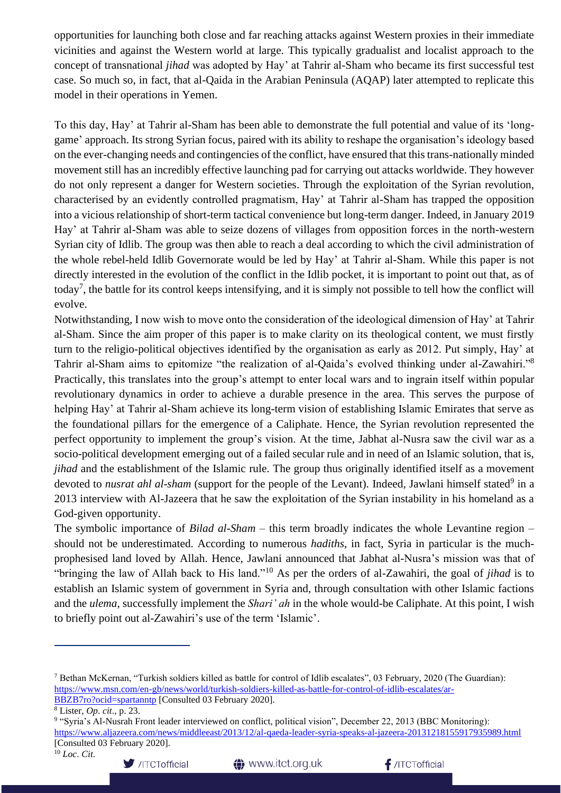opportunities for launching both close and far reaching attacks against Western proxies in their immediate vicinities and against the Western world at large. This typically gradualist and localist approach to the concept of transnational *jihad* was adopted by Hay' at Tahrir al-Sham who became its first successful test case. So much so, in fact, that al-Qaida in the Arabian Peninsula (AQAP) later attempted to replicate this model in their operations in Yemen.

To this day, Hay' at Tahrir al-Sham has been able to demonstrate the full potential and value of its 'longgame' approach. Its strong Syrian focus, paired with its ability to reshape the organisation's ideology based on the ever-changing needs and contingencies of the conflict, have ensured that this trans-nationally minded movement still has an incredibly effective launching pad for carrying out attacks worldwide. They however do not only represent a danger for Western societies. Through the exploitation of the Syrian revolution, characterised by an evidently controlled pragmatism, Hay' at Tahrir al-Sham has trapped the opposition into a vicious relationship of short-term tactical convenience but long-term danger. Indeed, in January 2019 Hay' at Tahrir al-Sham was able to seize dozens of villages from opposition forces in the north-western Syrian city of Idlib. The group was then able to reach a deal according to which the civil administration of the whole rebel-held Idlib Governorate would be led by Hay' at Tahrir al-Sham. While this paper is not directly interested in the evolution of the conflict in the Idlib pocket, it is important to point out that, as of today<sup>7</sup>, the battle for its control keeps intensifying, and it is simply not possible to tell how the conflict will evolve.

Notwithstanding, I now wish to move onto the consideration of the ideological dimension of Hay' at Tahrir al-Sham. Since the aim proper of this paper is to make clarity on its theological content, we must firstly turn to the religio-political objectives identified by the organisation as early as 2012. Put simply, Hay' at Tahrir al-Sham aims to epitomize "the realization of al-Qaida's evolved thinking under al-Zawahiri."<sup>8</sup> Practically, this translates into the group's attempt to enter local wars and to ingrain itself within popular revolutionary dynamics in order to achieve a durable presence in the area. This serves the purpose of helping Hay' at Tahrir al-Sham achieve its long-term vision of establishing Islamic Emirates that serve as the foundational pillars for the emergence of a Caliphate. Hence, the Syrian revolution represented the perfect opportunity to implement the group's vision. At the time, Jabhat al-Nusra saw the civil war as a socio-political development emerging out of a failed secular rule and in need of an Islamic solution, that is, *jihad* and the establishment of the Islamic rule. The group thus originally identified itself as a movement devoted to *nusrat ahl al-sham* (support for the people of the Levant). Indeed, Jawlani himself stated<sup>9</sup> in a 2013 interview with Al-Jazeera that he saw the exploitation of the Syrian instability in his homeland as a God-given opportunity.

The symbolic importance of *Bilad al-Sham* – this term broadly indicates the whole Levantine region – should not be underestimated. According to numerous *hadiths*, in fact, Syria in particular is the muchprophesised land loved by Allah. Hence, Jawlani announced that Jabhat al-Nusra's mission was that of "bringing the law of Allah back to His land."<sup>10</sup> As per the orders of al-Zawahiri, the goal of *jihad* is to establish an Islamic system of government in Syria and, through consultation with other Islamic factions and the *ulema*, successfully implement the *Shari' ah* in the whole would-be Caliphate. At this point, I wish to briefly point out al-Zawahiri's use of the term 'Islamic'.





<sup>&</sup>lt;sup>7</sup> Bethan McKernan, "Turkish soldiers killed as battle for control of Idlib escalates", 03 February, 2020 (The Guardian): [https://www.msn.com/en-gb/news/world/turkish-soldiers-killed-as-battle-for-control-of-idlib-escalates/ar-](https://www.msn.com/en-gb/news/world/turkish-soldiers-killed-as-battle-for-control-of-idlib-escalates/ar-BBZB7ro?ocid=spartanntp)[BBZB7ro?ocid=spartanntp](https://www.msn.com/en-gb/news/world/turkish-soldiers-killed-as-battle-for-control-of-idlib-escalates/ar-BBZB7ro?ocid=spartanntp) [Consulted 03 February 2020].

<sup>8</sup> Lister, *Op*. *cit*., p. 23.

<sup>&</sup>lt;sup>9</sup> "Syria's Al-Nusrah Front leader interviewed on conflict, political vision", December 22, 2013 (BBC Monitoring): <https://www.aljazeera.com/news/middleeast/2013/12/al-qaeda-leader-syria-speaks-al-jazeera-20131218155917935989.html> [Consulted 03 February 2020].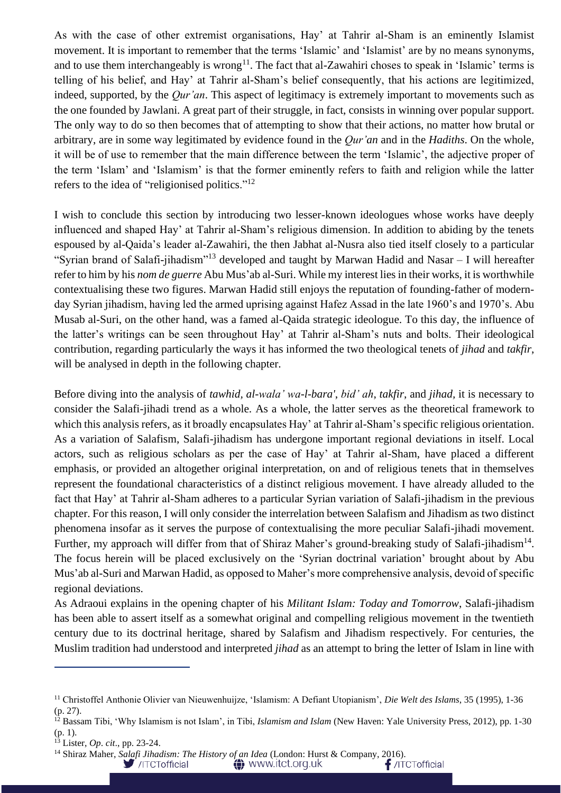As with the case of other extremist organisations, Hay' at Tahrir al-Sham is an eminently Islamist movement. It is important to remember that the terms 'Islamic' and 'Islamist' are by no means synonyms, and to use them interchangeably is wrong<sup>11</sup>. The fact that al-Zawahiri choses to speak in 'Islamic' terms is telling of his belief, and Hay' at Tahrir al-Sham's belief consequently, that his actions are legitimized, indeed, supported, by the *Qur'an*. This aspect of legitimacy is extremely important to movements such as the one founded by Jawlani. A great part of their struggle, in fact, consists in winning over popular support. The only way to do so then becomes that of attempting to show that their actions, no matter how brutal or arbitrary, are in some way legitimated by evidence found in the *Qur'an* and in the *Hadiths*. On the whole, it will be of use to remember that the main difference between the term 'Islamic', the adjective proper of the term 'Islam' and 'Islamism' is that the former eminently refers to faith and religion while the latter refers to the idea of "religionised politics."<sup>12</sup>

I wish to conclude this section by introducing two lesser-known ideologues whose works have deeply influenced and shaped Hay' at Tahrir al-Sham's religious dimension. In addition to abiding by the tenets espoused by al-Qaida's leader al-Zawahiri, the then Jabhat al-Nusra also tied itself closely to a particular "Syrian brand of Salafi-jihadism"<sup>13</sup> developed and taught by Marwan Hadid and Nasar – I will hereafter refer to him by his *nom de guerre* Abu Mus'ab al-Suri. While my interest lies in their works, it is worthwhile contextualising these two figures. Marwan Hadid still enjoys the reputation of founding-father of modernday Syrian jihadism, having led the armed uprising against Hafez Assad in the late 1960's and 1970's. Abu Musab al-Suri, on the other hand, was a famed al-Qaida strategic ideologue. To this day, the influence of the latter's writings can be seen throughout Hay' at Tahrir al-Sham's nuts and bolts. Their ideological contribution, regarding particularly the ways it has informed the two theological tenets of *jihad* and *takfir*, will be analysed in depth in the following chapter.

Before diving into the analysis of *tawhid, al-wala' wa-l-bara'*, *bid' ah*, *takfir*, and *jihad,* it is necessary to consider the Salafi-jihadi trend as a whole. As a whole, the latter serves as the theoretical framework to which this analysis refers, as it broadly encapsulates Hay' at Tahrir al-Sham's specific religious orientation. As a variation of Salafism, Salafi-jihadism has undergone important regional deviations in itself. Local actors, such as religious scholars as per the case of Hay' at Tahrir al-Sham, have placed a different emphasis, or provided an altogether original interpretation, on and of religious tenets that in themselves represent the foundational characteristics of a distinct religious movement. I have already alluded to the fact that Hay' at Tahrir al-Sham adheres to a particular Syrian variation of Salafi-jihadism in the previous chapter. For this reason, I will only consider the interrelation between Salafism and Jihadism as two distinct phenomena insofar as it serves the purpose of contextualising the more peculiar Salafi-jihadi movement. Further, my approach will differ from that of Shiraz Maher's ground-breaking study of Salafi-jihadism<sup>14</sup>. The focus herein will be placed exclusively on the 'Syrian doctrinal variation' brought about by Abu Mus'ab al-Suri and Marwan Hadid, as opposed to Maher's more comprehensive analysis, devoid of specific regional deviations.

As Adraoui explains in the opening chapter of his *Militant Islam: Today and Tomorrow*, Salafi-jihadism has been able to assert itself as a somewhat original and compelling religious movement in the twentieth century due to its doctrinal heritage, shared by Salafism and Jihadism respectively. For centuries, the Muslim tradition had understood and interpreted *jihad* as an attempt to bring the letter of Islam in line with

**←** www.itct.org.uk

<sup>11</sup> Christoffel Anthonie Olivier van Nieuwenhuijze, 'Islamism: A Defiant Utopianism', *Die Welt des Islams*, 35 (1995), 1-36 (p. 27).

<sup>&</sup>lt;sup>12</sup> Bassam Tibi, 'Why Islamism is not Islam', in Tibi, *Islamism and Islam* (New Haven: Yale University Press, 2012), pp. 1-30 (p. 1).

<sup>13</sup> Lister, *Op*. *cit*., pp. 23-24.

<sup>&</sup>lt;sup>14</sup> Shiraz Maher, *Salafi Jihadism: The History of an Idea* (London: Hurst & Company, 2016).<br>//ITCTofficial **12** WWW.itct.org.uk /ITCTofficial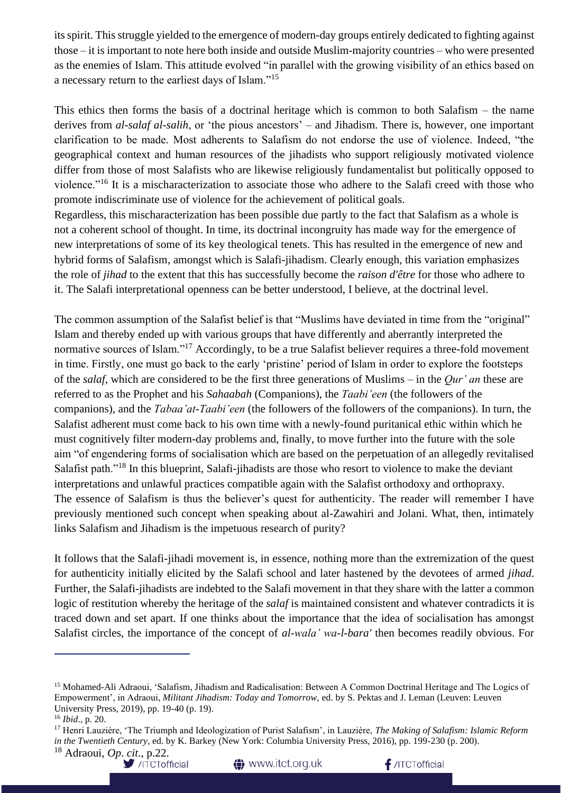its spirit. This struggle yielded to the emergence of modern-day groups entirely dedicated to fighting against those – it is important to note here both inside and outside Muslim-majority countries – who were presented as the enemies of Islam. This attitude evolved "in parallel with the growing visibility of an ethics based on a necessary return to the earliest days of Islam."<sup>15</sup>

This ethics then forms the basis of a doctrinal heritage which is common to both Salafism – the name derives from *al-salaf al-salih*, or 'the pious ancestors' – and Jihadism. There is, however, one important clarification to be made. Most adherents to Salafism do not endorse the use of violence. Indeed, "the geographical context and human resources of the jihadists who support religiously motivated violence differ from those of most Salafists who are likewise religiously fundamentalist but politically opposed to violence."<sup>16</sup> It is a mischaracterization to associate those who adhere to the Salafi creed with those who promote indiscriminate use of violence for the achievement of political goals.

Regardless, this mischaracterization has been possible due partly to the fact that Salafism as a whole is not a coherent school of thought. In time, its doctrinal incongruity has made way for the emergence of new interpretations of some of its key theological tenets. This has resulted in the emergence of new and hybrid forms of Salafism, amongst which is Salafi-jihadism. Clearly enough, this variation emphasizes the role of *jihad* to the extent that this has successfully become the *raison d'être* for those who adhere to it. The Salafi interpretational openness can be better understood, I believe, at the doctrinal level.

The common assumption of the Salafist belief is that "Muslims have deviated in time from the "original" Islam and thereby ended up with various groups that have differently and aberrantly interpreted the normative sources of Islam."<sup>17</sup> Accordingly, to be a true Salafist believer requires a three-fold movement in time. Firstly, one must go back to the early 'pristine' period of Islam in order to explore the footsteps of the *salaf*, which are considered to be the first three generations of Muslims – in the *Qur' an* these are referred to as the Prophet and his *Sahaabah* (Companions), the *Taabi'een* (the followers of the companions), and the *Tabaa'at-Taabi'een* (the followers of the followers of the companions). In turn, the Salafist adherent must come back to his own time with a newly-found puritanical ethic within which he must cognitively filter modern-day problems and, finally, to move further into the future with the sole aim "of engendering forms of socialisation which are based on the perpetuation of an allegedly revitalised Salafist path."<sup>18</sup> In this blueprint, Salafi-jihadists are those who resort to violence to make the deviant interpretations and unlawful practices compatible again with the Salafist orthodoxy and orthopraxy. The essence of Salafism is thus the believer's quest for authenticity. The reader will remember I have previously mentioned such concept when speaking about al-Zawahiri and Jolani. What, then, intimately links Salafism and Jihadism is the impetuous research of purity?

It follows that the Salafi-jihadi movement is, in essence, nothing more than the extremization of the quest for authenticity initially elicited by the Salafi school and later hastened by the devotees of armed *jihad*. Further, the Salafi-jihadists are indebted to the Salafi movement in that they share with the latter a common logic of restitution whereby the heritage of the *salaf* is maintained consistent and whatever contradicts it is traced down and set apart. If one thinks about the importance that the idea of socialisation has amongst Salafist circles, the importance of the concept of *al-wala' wa-l-bara'* then becomes readily obvious. For

<sup>&</sup>lt;sup>18</sup> Adraoui, *Op. cit.*, p.22.<br>ITCTofficial





<sup>15</sup> Mohamed-Ali Adraoui, 'Salafism, Jihadism and Radicalisation: Between A Common Doctrinal Heritage and The Logics of Empowerment', in Adraoui, *Militant Jihadism: Today and Tomorrow,* ed. by S. Pektas and J. Leman (Leuven: Leuven University Press, 2019), pp. 19-40 (p. 19).

<sup>16</sup> *Ibid*., p. 20.

<sup>17</sup> Henri Lauzière, 'The Triumph and Ideologization of Purist Salafism', in Lauzière, *The Making of Salafism: Islamic Reform in the Twentieth Century*, ed. by K. Barkey (New York: Columbia University Press, 2016), pp. 199-230 (p. 200).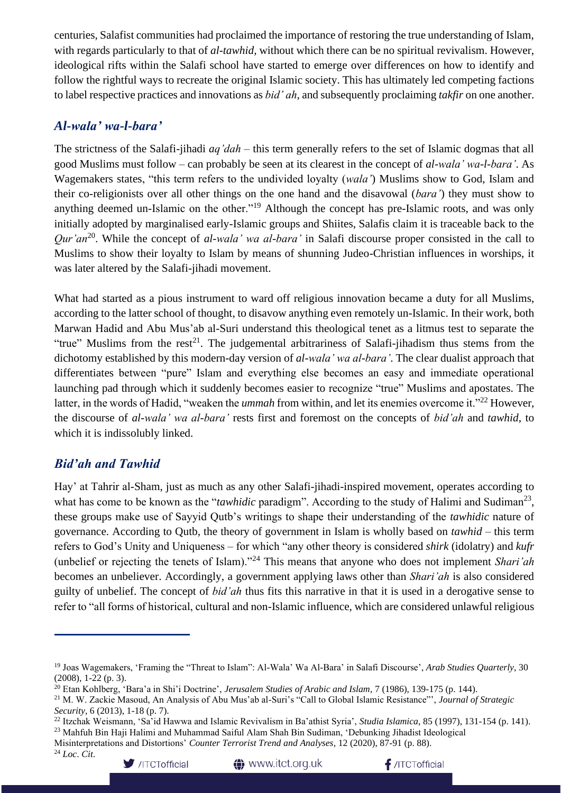centuries, Salafist communities had proclaimed the importance of restoring the true understanding of Islam, with regards particularly to that of *al-tawhid*, without which there can be no spiritual revivalism. However, ideological rifts within the Salafi school have started to emerge over differences on how to identify and follow the rightful ways to recreate the original Islamic society. This has ultimately led competing factions to label respective practices and innovations as *bid' ah*, and subsequently proclaiming *takfir* on one another.

#### *Al-wala' wa-l-bara'*

The strictness of the Salafi-jihadi *aq'dah* – this term generally refers to the set of Islamic dogmas that all good Muslims must follow – can probably be seen at its clearest in the concept of *al-wala' wa-l-bara'*. As Wagemakers states, "this term refers to the undivided loyalty (*wala'*) Muslims show to God, Islam and their co-religionists over all other things on the one hand and the disavowal (*bara'*) they must show to anything deemed un-Islamic on the other."<sup>19</sup> Although the concept has pre-Islamic roots, and was only initially adopted by marginalised early-Islamic groups and Shiites, Salafis claim it is traceable back to the *Qur'an*<sup>20</sup> . While the concept of *al-wala' wa al-bara'* in Salafi discourse proper consisted in the call to Muslims to show their loyalty to Islam by means of shunning Judeo-Christian influences in worships, it was later altered by the Salafi-jihadi movement.

What had started as a pious instrument to ward off religious innovation became a duty for all Muslims, according to the latter school of thought, to disavow anything even remotely un-Islamic. In their work, both Marwan Hadid and Abu Mus'ab al-Suri understand this theological tenet as a litmus test to separate the "true" Muslims from the rest<sup>21</sup>. The judgemental arbitrariness of Salafi-jihadism thus stems from the dichotomy established by this modern-day version of *al-wala' wa al-bara'*. The clear dualist approach that differentiates between "pure" Islam and everything else becomes an easy and immediate operational launching pad through which it suddenly becomes easier to recognize "true" Muslims and apostates. The latter, in the words of Hadid, "weaken the *ummah* from within, and let its enemies overcome it."<sup>22</sup> However, the discourse of *al-wala' wa al-bara'* rests first and foremost on the concepts of *bid'ah* and *tawhid*, to which it is indissolubly linked.

### *Bid'ah and Tawhid*

Hay' at Tahrir al-Sham, just as much as any other Salafi-jihadi-inspired movement, operates according to what has come to be known as the "*tawhidic* paradigm". According to the study of Halimi and Sudiman<sup>23</sup>, these groups make use of Sayyid Qutb's writings to shape their understanding of the *tawhidic* nature of governance. According to Qutb, the theory of government in Islam is wholly based on *tawhid* – this term refers to God's Unity and Uniqueness – for which "any other theory is considered *shirk* (idolatry) and *kufr* (unbelief or rejecting the tenets of Islam)."<sup>24</sup> This means that anyone who does not implement *Shari'ah* becomes an unbeliever. Accordingly, a government applying laws other than *Shari'ah* is also considered guilty of unbelief. The concept of *bid'ah* thus fits this narrative in that it is used in a derogative sense to refer to "all forms of historical, cultural and non-Islamic influence, which are considered unlawful religious

<sup>23</sup> Mahfuh Bin Haji Halimi and Muhammad Saiful Alam Shah Bin Sudiman, 'Debunking Jihadist Ideological

<sup>24</sup> *Loc*. *Cit*.



**<sup>1</sup>** www.itct.org.uk



<sup>19</sup> Joas Wagemakers, 'Framing the "Threat to Islam": Al-Wala' Wa Al-Bara' in Salafi Discourse', *Arab Studies Quarterly*, 30 (2008), 1-22 (p. 3).

<sup>20</sup> Etan Kohlberg, 'Bara'a in Shi'i Doctrine', *Jerusalem Studies of Arabic and Islam*, 7 (1986), 139-175 (p. 144).

<sup>21</sup> M. W. Zackie Masoud, An Analysis of Abu Mus'ab al-Suri's "Call to Global Islamic Resistance"', *Journal of Strategic Security*, 6 (2013), 1-18 (p. 7).

<sup>22</sup> Itzchak Weismann, 'Sa'id Hawwa and Islamic Revivalism in Ba'athist Syria', *Studia Islamica*, 85 (1997), 131-154 (p. 141).

Misinterpretations and Distortions' *Counter Terrorist Trend and Analyses*, 12 (2020), 87-91 (p. 88).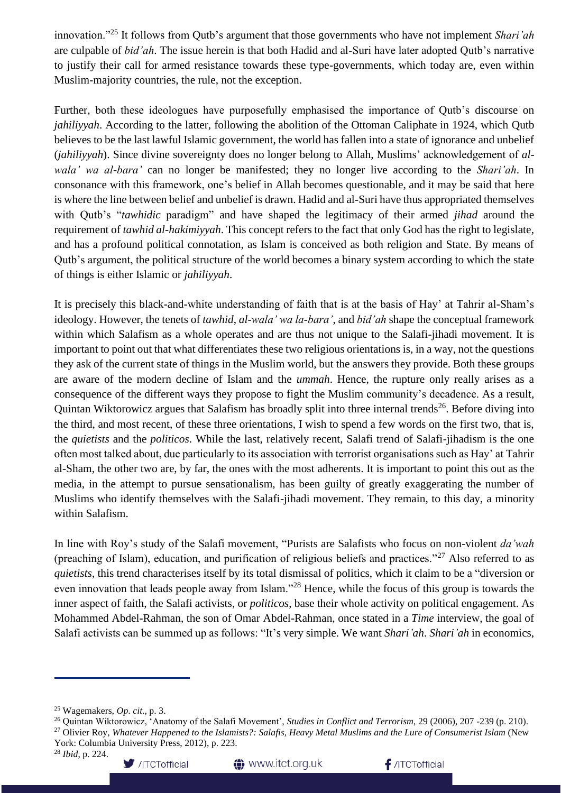innovation."<sup>25</sup> It follows from Qutb's argument that those governments who have not implement *Shari'ah* are culpable of *bid'ah*. The issue herein is that both Hadid and al-Suri have later adopted Qutb's narrative to justify their call for armed resistance towards these type-governments, which today are, even within Muslim-majority countries, the rule, not the exception.

Further, both these ideologues have purposefully emphasised the importance of Qutb's discourse on *jahiliyyah*. According to the latter, following the abolition of the Ottoman Caliphate in 1924, which Qutb believes to be the last lawful Islamic government, the world has fallen into a state of ignorance and unbelief (*jahiliyyah*). Since divine sovereignty does no longer belong to Allah, Muslims' acknowledgement of *alwala' wa al-bara'* can no longer be manifested; they no longer live according to the *Shari'ah*. In consonance with this framework, one's belief in Allah becomes questionable, and it may be said that here is where the line between belief and unbelief is drawn. Hadid and al-Suri have thus appropriated themselves with Qutb's "*tawhidic* paradigm" and have shaped the legitimacy of their armed *jihad* around the requirement of *tawhid al-hakimiyyah*. This concept refers to the fact that only God has the right to legislate, and has a profound political connotation, as Islam is conceived as both religion and State. By means of Qutb's argument, the political structure of the world becomes a binary system according to which the state of things is either Islamic or *jahiliyyah*.

It is precisely this black-and-white understanding of faith that is at the basis of Hay' at Tahrir al-Sham's ideology. However, the tenets of *tawhid*, *al-wala' wa la-bara'*, and *bid'ah* shape the conceptual framework within which Salafism as a whole operates and are thus not unique to the Salafi-jihadi movement. It is important to point out that what differentiates these two religious orientations is, in a way, not the questions they ask of the current state of things in the Muslim world, but the answers they provide. Both these groups are aware of the modern decline of Islam and the *ummah*. Hence, the rupture only really arises as a consequence of the different ways they propose to fight the Muslim community's decadence. As a result, Quintan Wiktorowicz argues that Salafism has broadly split into three internal trends<sup>26</sup>. Before diving into the third, and most recent, of these three orientations, I wish to spend a few words on the first two, that is, the *quietists* and the *politicos*. While the last, relatively recent, Salafi trend of Salafi-jihadism is the one often most talked about, due particularly to its association with terrorist organisations such as Hay' at Tahrir al-Sham, the other two are, by far, the ones with the most adherents. It is important to point this out as the media, in the attempt to pursue sensationalism, has been guilty of greatly exaggerating the number of Muslims who identify themselves with the Salafi-jihadi movement. They remain, to this day, a minority within Salafism.

In line with Roy's study of the Salafi movement, "Purists are Salafists who focus on non-violent *da'wah* (preaching of Islam), education, and purification of religious beliefs and practices."<sup>27</sup> Also referred to as *quietists*, this trend characterises itself by its total dismissal of politics, which it claim to be a "diversion or even innovation that leads people away from Islam."<sup>28</sup> Hence, while the focus of this group is towards the inner aspect of faith, the Salafi activists, or *politicos*, base their whole activity on political engagement. As Mohammed Abdel-Rahman, the son of Omar Abdel-Rahman, once stated in a *Time* interview, the goal of Salafi activists can be summed up as follows: "It's very simple. We want *Shari'ah*. *Shari'ah* in economics,

/ITCTofficial

<sup>25</sup> Wagemakers, *Op*. *cit*., p. 3.

<sup>26</sup> Quintan Wiktorowicz, 'Anatomy of the Salafi Movement', *Studies in Conflict and Terrorism*, 29 (2006), 207 -239 (p. 210). <sup>27</sup> Olivier Roy, *Whatever Happened to the Islamists?: Salafis, Heavy Metal Muslims and the Lure of Consumerist Islam* (New York: Columbia University Press, 2012), p. 223.

<sup>28</sup> *Ibid*, p. 224.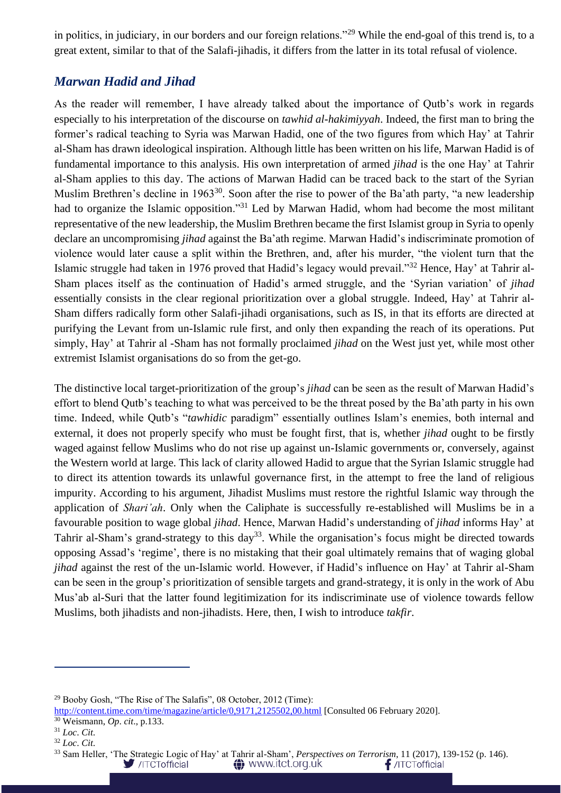in politics, in judiciary, in our borders and our foreign relations."<sup>29</sup> While the end-goal of this trend is, to a great extent, similar to that of the Salafi-jihadis, it differs from the latter in its total refusal of violence.

#### *Marwan Hadid and Jihad*

As the reader will remember, I have already talked about the importance of Qutb's work in regards especially to his interpretation of the discourse on *tawhid al-hakimiyyah*. Indeed, the first man to bring the former's radical teaching to Syria was Marwan Hadid, one of the two figures from which Hay' at Tahrir al-Sham has drawn ideological inspiration. Although little has been written on his life, Marwan Hadid is of fundamental importance to this analysis. His own interpretation of armed *jihad* is the one Hay' at Tahrir al-Sham applies to this day. The actions of Marwan Hadid can be traced back to the start of the Syrian Muslim Brethren's decline in 1963<sup>30</sup>. Soon after the rise to power of the Ba'ath party, "a new leadership had to organize the Islamic opposition."<sup>31</sup> Led by Marwan Hadid, whom had become the most militant representative of the new leadership, the Muslim Brethren became the first Islamist group in Syria to openly declare an uncompromising *jihad* against the Ba'ath regime. Marwan Hadid's indiscriminate promotion of violence would later cause a split within the Brethren, and, after his murder, "the violent turn that the Islamic struggle had taken in 1976 proved that Hadid's legacy would prevail."<sup>32</sup> Hence, Hay' at Tahrir al-Sham places itself as the continuation of Hadid's armed struggle, and the 'Syrian variation' of *jihad* essentially consists in the clear regional prioritization over a global struggle. Indeed, Hay' at Tahrir al-Sham differs radically form other Salafi-jihadi organisations, such as IS, in that its efforts are directed at purifying the Levant from un-Islamic rule first, and only then expanding the reach of its operations. Put simply, Hay' at Tahrir al -Sham has not formally proclaimed *jihad* on the West just yet, while most other extremist Islamist organisations do so from the get-go.

The distinctive local target-prioritization of the group's *jihad* can be seen as the result of Marwan Hadid's effort to blend Qutb's teaching to what was perceived to be the threat posed by the Ba'ath party in his own time. Indeed, while Qutb's "*tawhidic* paradigm" essentially outlines Islam's enemies, both internal and external, it does not properly specify who must be fought first, that is, whether *jihad* ought to be firstly waged against fellow Muslims who do not rise up against un-Islamic governments or, conversely, against the Western world at large. This lack of clarity allowed Hadid to argue that the Syrian Islamic struggle had to direct its attention towards its unlawful governance first, in the attempt to free the land of religious impurity. According to his argument, Jihadist Muslims must restore the rightful Islamic way through the application of *Shari'ah*. Only when the Caliphate is successfully re-established will Muslims be in a favourable position to wage global *jihad*. Hence, Marwan Hadid's understanding of *jihad* informs Hay' at Tahrir al-Sham's grand-strategy to this day<sup>33</sup>. While the organisation's focus might be directed towards opposing Assad's 'regime', there is no mistaking that their goal ultimately remains that of waging global *jihad* against the rest of the un-Islamic world. However, if Hadid's influence on Hay' at Tahrir al-Sham can be seen in the group's prioritization of sensible targets and grand-strategy, it is only in the work of Abu Mus'ab al-Suri that the latter found legitimization for its indiscriminate use of violence towards fellow Muslims, both jihadists and non-jihadists. Here, then, I wish to introduce *takfir*.

<sup>29</sup> Booby Gosh, "The Rise of The Salafis", 08 October, 2012 (Time):

<http://content.time.com/time/magazine/article/0,9171,2125502,00.html> [Consulted 06 February 2020].

<sup>30</sup> Weismann, *Op*. *cit*., p.133.

<sup>31</sup> *Loc*. *Cit*.

<sup>32</sup> *Loc*. *Cit*.

<sup>&</sup>lt;sup>33</sup> Sam Heller, 'The Strategic Logic of Hay' at Tahrir al-Sham', *Perspectives on Terrorism*, 11 (2017), 139-152 (p. 146).<br>//ITCTofficial **1991-11-11 (2017)** //ITCTofficial **1991-11-11** (1991-11-11) //ITCTofficial **1991-1** /ITCTofficial **△** www.itct.org.uk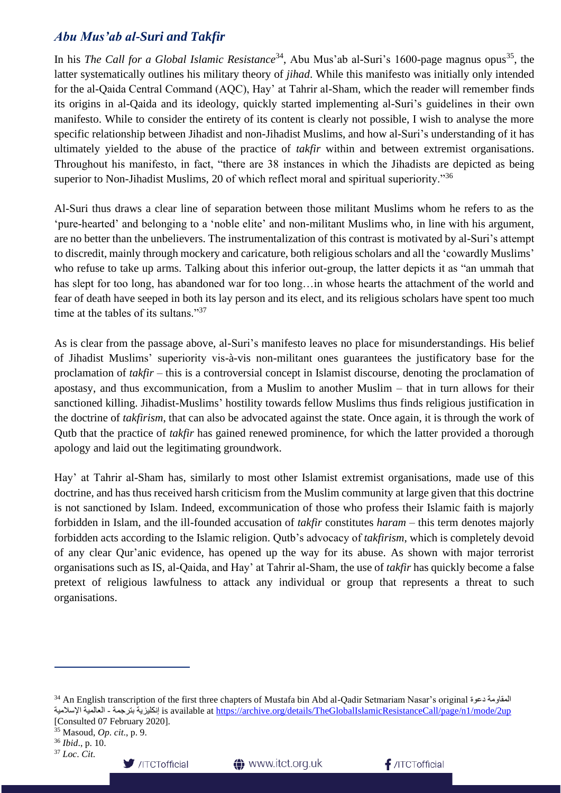#### *Abu Mus'ab al-Suri and Takfir*

In his *The Call for a Global Islamic Resistance*<sup>34</sup>, Abu Mus'ab al-Suri's 1600-page magnus opus<sup>35</sup>, the latter systematically outlines his military theory of *jihad*. While this manifesto was initially only intended for the al-Qaida Central Command (AQC), Hay' at Tahrir al-Sham, which the reader will remember finds its origins in al-Qaida and its ideology, quickly started implementing al-Suri's guidelines in their own manifesto. While to consider the entirety of its content is clearly not possible, I wish to analyse the more specific relationship between Jihadist and non-Jihadist Muslims, and how al-Suri's understanding of it has ultimately yielded to the abuse of the practice of *takfir* within and between extremist organisations. Throughout his manifesto, in fact, "there are 38 instances in which the Jihadists are depicted as being superior to Non-Jihadist Muslims, 20 of which reflect moral and spiritual superiority."<sup>36</sup>

Al-Suri thus draws a clear line of separation between those militant Muslims whom he refers to as the 'pure-hearted' and belonging to a 'noble elite' and non-militant Muslims who, in line with his argument, are no better than the unbelievers. The instrumentalization of this contrast is motivated by al-Suri's attempt to discredit, mainly through mockery and caricature, both religious scholars and all the 'cowardly Muslims' who refuse to take up arms. Talking about this inferior out-group, the latter depicts it as "an ummah that has slept for too long, has abandoned war for too long…in whose hearts the attachment of the world and fear of death have seeped in both its lay person and its elect, and its religious scholars have spent too much time at the tables of its sultans."<sup>37</sup>

As is clear from the passage above, al-Suri's manifesto leaves no place for misunderstandings. His belief of Jihadist Muslims' superiority vis-à-vis non-militant ones guarantees the justificatory base for the proclamation of *takfir* – this is a controversial concept in Islamist discourse, denoting the proclamation of apostasy, and thus excommunication, from a Muslim to another Muslim – that in turn allows for their sanctioned killing. Jihadist-Muslims' hostility towards fellow Muslims thus finds religious justification in the doctrine of *takfirism*, that can also be advocated against the state. Once again, it is through the work of Qutb that the practice of *takfir* has gained renewed prominence, for which the latter provided a thorough apology and laid out the legitimating groundwork.

Hay' at Tahrir al-Sham has, similarly to most other Islamist extremist organisations, made use of this doctrine, and has thus received harsh criticism from the Muslim community at large given that this doctrine is not sanctioned by Islam. Indeed, excommunication of those who profess their Islamic faith is majorly forbidden in Islam, and the ill-founded accusation of *takfir* constitutes *haram* – this term denotes majorly forbidden acts according to the Islamic religion. Qutb's advocacy of *takfirism*, which is completely devoid of any clear Qur'anic evidence, has opened up the way for its abuse. As shown with major terrorist organisations such as IS, al-Qaida, and Hay' at Tahrir al-Sham, the use of *takfir* has quickly become a false pretext of religious lawfulness to attack any individual or group that represents a threat to such organisations.

<sup>37</sup> *Loc*. *Cit*.





<sup>34</sup> An English transcription of the first three chapters of Mustafa bin Abd al-Qadir Setmariam Nasar's original دعوة المقاومة اإلسالمية العالمية - بترجمة إنكليزية is available at<https://archive.org/details/TheGlobalIslamicResistanceCall/page/n1/mode/2up> [Consulted 07 February 2020].

<sup>35</sup> Masoud, *Op*. *cit*., p. 9.

<sup>36</sup> *Ibid*., p. 10.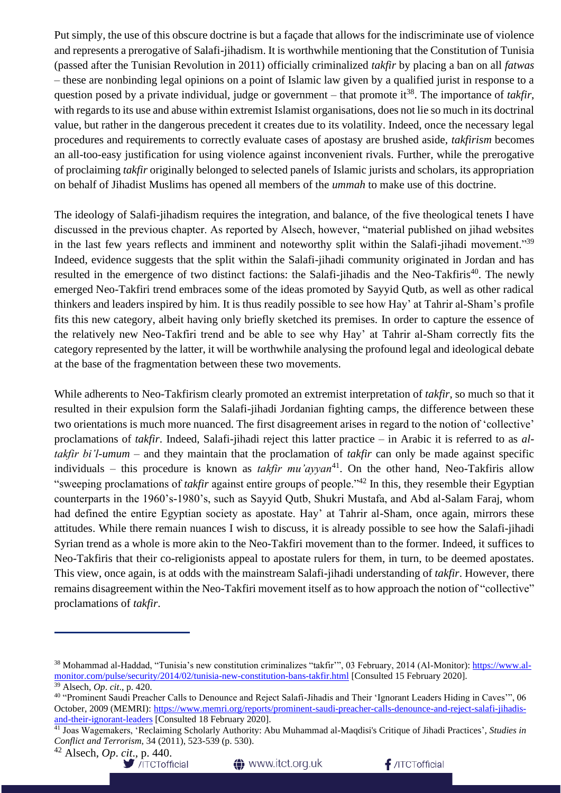Put simply, the use of this obscure doctrine is but a façade that allows for the indiscriminate use of violence and represents a prerogative of Salafi-jihadism. It is worthwhile mentioning that the Constitution of Tunisia (passed after the Tunisian Revolution in 2011) officially criminalized *takfir* by placing a ban on all *fatwas* – these are nonbinding legal opinions on a point of Islamic law given by a qualified jurist in response to a question posed by a private individual, judge or government – that promote it<sup>38</sup>. The importance of *takfir*, with regards to its use and abuse within extremist Islamist organisations, does not lie so much in its doctrinal value, but rather in the dangerous precedent it creates due to its volatility. Indeed, once the necessary legal procedures and requirements to correctly evaluate cases of apostasy are brushed aside, *takfirism* becomes an all-too-easy justification for using violence against inconvenient rivals. Further, while the prerogative of proclaiming *takfir* originally belonged to selected panels of Islamic jurists and scholars, its appropriation on behalf of Jihadist Muslims has opened all members of the *ummah* to make use of this doctrine.

The ideology of Salafi-jihadism requires the integration, and balance, of the five theological tenets I have discussed in the previous chapter. As reported by Alsech, however, "material published on jihad websites in the last few years reflects and imminent and noteworthy split within the Salafi-jihadi movement."<sup>39</sup> Indeed, evidence suggests that the split within the Salafi-jihadi community originated in Jordan and has resulted in the emergence of two distinct factions: the Salafi-jihadis and the Neo-Takfiris<sup>40</sup>. The newly emerged Neo-Takfiri trend embraces some of the ideas promoted by Sayyid Qutb, as well as other radical thinkers and leaders inspired by him. It is thus readily possible to see how Hay' at Tahrir al-Sham's profile fits this new category, albeit having only briefly sketched its premises. In order to capture the essence of the relatively new Neo-Takfiri trend and be able to see why Hay' at Tahrir al-Sham correctly fits the category represented by the latter, it will be worthwhile analysing the profound legal and ideological debate at the base of the fragmentation between these two movements.

While adherents to Neo-Takfirism clearly promoted an extremist interpretation of *takfir*, so much so that it resulted in their expulsion form the Salafi-jihadi Jordanian fighting camps, the difference between these two orientations is much more nuanced. The first disagreement arises in regard to the notion of 'collective' proclamations of *takfir*. Indeed, Salafi-jihadi reject this latter practice – in Arabic it is referred to as *altakfir bi'l-umum* – and they maintain that the proclamation of *takfir* can only be made against specific individuals – this procedure is known as *takfir mu'ayyan*<sup>41</sup>. On the other hand, Neo-Takfiris allow "sweeping proclamations of *takfir* against entire groups of people."<sup>42</sup> In this, they resemble their Egyptian counterparts in the 1960's-1980's, such as Sayyid Qutb, Shukri Mustafa, and Abd al-Salam Faraj, whom had defined the entire Egyptian society as apostate. Hay' at Tahrir al-Sham, once again, mirrors these attitudes. While there remain nuances I wish to discuss, it is already possible to see how the Salafi-jihadi Syrian trend as a whole is more akin to the Neo-Takfiri movement than to the former. Indeed, it suffices to Neo-Takfiris that their co-religionists appeal to apostate rulers for them, in turn, to be deemed apostates. This view, once again, is at odds with the mainstream Salafi-jihadi understanding of *takfir*. However, there remains disagreement within the Neo-Takfiri movement itself as to how approach the notion of "collective" proclamations of *takfir*.

/TCTofficial



<sup>&</sup>lt;sup>38</sup> Mohammad al-Haddad, "Tunisia's new constitution criminalizes "takfir"", 03 February, 2014 (Al-Monitor)[: https://www.al](https://www.al-monitor.com/pulse/security/2014/02/tunisia-new-constitution-bans-takfir.html)[monitor.com/pulse/security/2014/02/tunisia-new-constitution-bans-takfir.html](https://www.al-monitor.com/pulse/security/2014/02/tunisia-new-constitution-bans-takfir.html) [Consulted 15 February 2020]. <sup>39</sup> Alsech, *Op*. *cit*., p. 420.

<sup>40</sup> "Prominent Saudi Preacher Calls to Denounce and Reject Salafi-Jihadis and Their 'Ignorant Leaders Hiding in Caves'", 06 October, 2009 (MEMRI): [https://www.memri.org/reports/prominent-saudi-preacher-calls-denounce-and-reject-salafi-jihadis](https://www.memri.org/reports/prominent-saudi-preacher-calls-denounce-and-reject-salafi-jihadis-and-their-ignorant-leaders)[and-their-ignorant-leaders](https://www.memri.org/reports/prominent-saudi-preacher-calls-denounce-and-reject-salafi-jihadis-and-their-ignorant-leaders) [Consulted 18 February 2020].

<sup>41</sup> Joas Wagemakers, 'Reclaiming Scholarly Authority: Abu Muhammad al-Maqdisi's Critique of Jihadi Practices', *Studies in Conflict and Terrorism*, 34 (2011), 523-539 (p. 530).

<sup>42</sup> Alsech, *Op*. *cit*., p. 440.

**<sup>1</sup>** www.itct.org.uk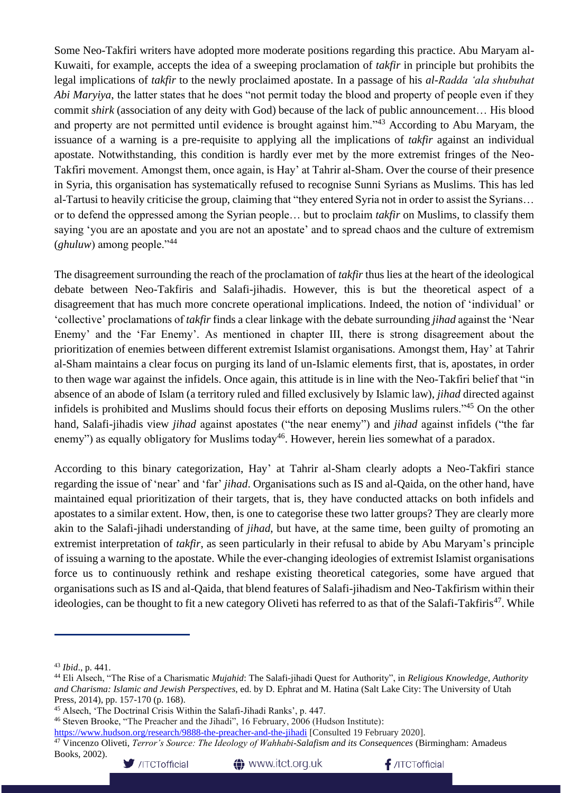Some Neo-Takfiri writers have adopted more moderate positions regarding this practice. Abu Maryam al-Kuwaiti, for example, accepts the idea of a sweeping proclamation of *takfir* in principle but prohibits the legal implications of *takfir* to the newly proclaimed apostate. In a passage of his *al-Radda 'ala shubuhat Abi Maryiya*, the latter states that he does "not permit today the blood and property of people even if they commit *shirk* (association of any deity with God) because of the lack of public announcement… His blood and property are not permitted until evidence is brought against him."<sup>43</sup> According to Abu Maryam, the issuance of a warning is a pre-requisite to applying all the implications of *takfir* against an individual apostate. Notwithstanding, this condition is hardly ever met by the more extremist fringes of the Neo-Takfiri movement. Amongst them, once again, is Hay' at Tahrir al-Sham. Over the course of their presence in Syria, this organisation has systematically refused to recognise Sunni Syrians as Muslims. This has led al-Tartusi to heavily criticise the group, claiming that "they entered Syria not in order to assist the Syrians… or to defend the oppressed among the Syrian people… but to proclaim *takfir* on Muslims, to classify them saying 'you are an apostate and you are not an apostate' and to spread chaos and the culture of extremism (*ghuluw*) among people."<sup>44</sup>

The disagreement surrounding the reach of the proclamation of *takfir* thus lies at the heart of the ideological debate between Neo-Takfiris and Salafi-jihadis. However, this is but the theoretical aspect of a disagreement that has much more concrete operational implications. Indeed, the notion of 'individual' or 'collective' proclamations of *takfir* finds a clear linkage with the debate surrounding *jihad* against the 'Near Enemy' and the 'Far Enemy'. As mentioned in chapter III, there is strong disagreement about the prioritization of enemies between different extremist Islamist organisations. Amongst them, Hay' at Tahrir al-Sham maintains a clear focus on purging its land of un-Islamic elements first, that is, apostates, in order to then wage war against the infidels. Once again, this attitude is in line with the Neo-Takfiri belief that "in absence of an abode of Islam (a territory ruled and filled exclusively by Islamic law), *jihad* directed against infidels is prohibited and Muslims should focus their efforts on deposing Muslims rulers."<sup>45</sup> On the other hand, Salafi-jihadis view *jihad* against apostates ("the near enemy") and *jihad* against infidels ("the far enemy") as equally obligatory for Muslims today<sup>46</sup>. However, herein lies somewhat of a paradox.

According to this binary categorization, Hay' at Tahrir al-Sham clearly adopts a Neo-Takfiri stance regarding the issue of 'near' and 'far' *jihad*. Organisations such as IS and al-Qaida, on the other hand, have maintained equal prioritization of their targets, that is, they have conducted attacks on both infidels and apostates to a similar extent. How, then, is one to categorise these two latter groups? They are clearly more akin to the Salafi-jihadi understanding of *jihad*, but have, at the same time, been guilty of promoting an extremist interpretation of *takfir*, as seen particularly in their refusal to abide by Abu Maryam's principle of issuing a warning to the apostate. While the ever-changing ideologies of extremist Islamist organisations force us to continuously rethink and reshape existing theoretical categories, some have argued that organisations such as IS and al-Qaida, that blend features of Salafi-jihadism and Neo-Takfirism within their ideologies, can be thought to fit a new category Oliveti has referred to as that of the Salafi-Takfiris<sup>47</sup>. While

<sup>47</sup> Vincenzo Oliveti, *Terror's Source: The Ideology of Wahhabi-Salafism and its Consequences* (Birmingham: Amadeus Books, 2002).





<sup>43</sup> *Ibid*., p. 441.

<sup>44</sup> Eli Alsech, "The Rise of a Charismatic *Mujahid*: The Salafi-jihadi Quest for Authority", in *Religious Knowledge, Authority and Charisma: Islamic and Jewish Perspectives*, ed. by D. Ephrat and M. Hatina (Salt Lake City: The University of Utah Press, 2014), pp. 157-170 (p. 168).

<sup>45</sup> Alsech, 'The Doctrinal Crisis Within the Salafi-Jihadi Ranks', p. 447.

<sup>46</sup> Steven Brooke, "The Preacher and the Jihadi", 16 February, 2006 (Hudson Institute):

<https://www.hudson.org/research/9888-the-preacher-and-the-jihadi> [Consulted 19 February 2020].

**<sup>1</sup>** www.itct.org.uk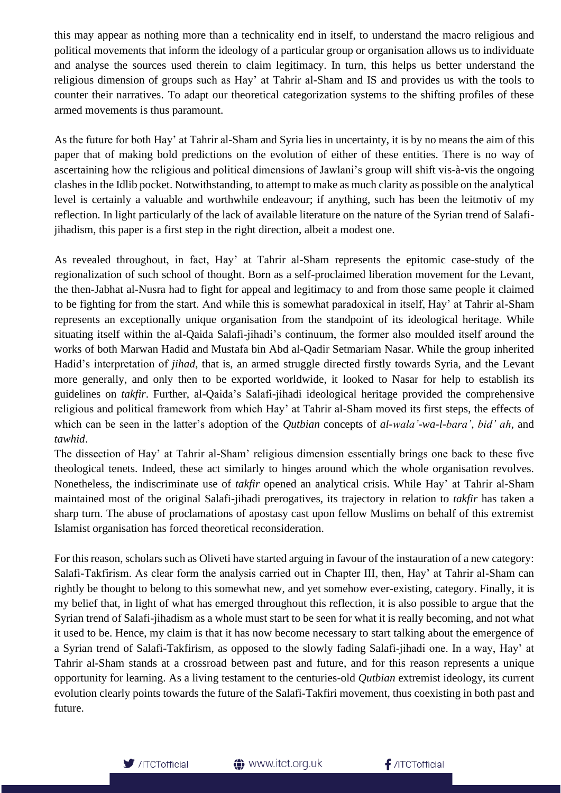this may appear as nothing more than a technicality end in itself, to understand the macro religious and political movements that inform the ideology of a particular group or organisation allows us to individuate and analyse the sources used therein to claim legitimacy. In turn, this helps us better understand the religious dimension of groups such as Hay' at Tahrir al-Sham and IS and provides us with the tools to counter their narratives. To adapt our theoretical categorization systems to the shifting profiles of these armed movements is thus paramount.

As the future for both Hay' at Tahrir al-Sham and Syria lies in uncertainty, it is by no means the aim of this paper that of making bold predictions on the evolution of either of these entities. There is no way of ascertaining how the religious and political dimensions of Jawlani's group will shift vis-à-vis the ongoing clashes in the Idlib pocket. Notwithstanding, to attempt to make as much clarity as possible on the analytical level is certainly a valuable and worthwhile endeavour; if anything, such has been the leitmotiv of my reflection. In light particularly of the lack of available literature on the nature of the Syrian trend of Salafijihadism, this paper is a first step in the right direction, albeit a modest one.

As revealed throughout, in fact, Hay' at Tahrir al-Sham represents the epitomic case-study of the regionalization of such school of thought. Born as a self-proclaimed liberation movement for the Levant, the then-Jabhat al-Nusra had to fight for appeal and legitimacy to and from those same people it claimed to be fighting for from the start. And while this is somewhat paradoxical in itself, Hay' at Tahrir al-Sham represents an exceptionally unique organisation from the standpoint of its ideological heritage. While situating itself within the al-Qaida Salafi-jihadi's continuum, the former also moulded itself around the works of both Marwan Hadid and Mustafa bin Abd al-Qadir Setmariam Nasar. While the group inherited Hadid's interpretation of *jihad*, that is, an armed struggle directed firstly towards Syria, and the Levant more generally, and only then to be exported worldwide, it looked to Nasar for help to establish its guidelines on *takfir*. Further, al-Qaida's Salafi-jihadi ideological heritage provided the comprehensive religious and political framework from which Hay' at Tahrir al-Sham moved its first steps, the effects of which can be seen in the latter's adoption of the *Qutbian* concepts of *al-wala'-wa-l-bara'*, *bid' ah*, and *tawhid*.

The dissection of Hay' at Tahrir al-Sham' religious dimension essentially brings one back to these five theological tenets. Indeed, these act similarly to hinges around which the whole organisation revolves. Nonetheless, the indiscriminate use of *takfir* opened an analytical crisis. While Hay' at Tahrir al-Sham maintained most of the original Salafi-jihadi prerogatives, its trajectory in relation to *takfir* has taken a sharp turn. The abuse of proclamations of apostasy cast upon fellow Muslims on behalf of this extremist Islamist organisation has forced theoretical reconsideration.

For this reason, scholars such as Oliveti have started arguing in favour of the instauration of a new category: Salafi-Takfirism. As clear form the analysis carried out in Chapter III, then, Hay' at Tahrir al-Sham can rightly be thought to belong to this somewhat new, and yet somehow ever-existing, category. Finally, it is my belief that, in light of what has emerged throughout this reflection, it is also possible to argue that the Syrian trend of Salafi-jihadism as a whole must start to be seen for what it is really becoming, and not what it used to be. Hence, my claim is that it has now become necessary to start talking about the emergence of a Syrian trend of Salafi-Takfirism, as opposed to the slowly fading Salafi-jihadi one. In a way, Hay' at Tahrir al-Sham stands at a crossroad between past and future, and for this reason represents a unique opportunity for learning. As a living testament to the centuries-old *Qutbian* extremist ideology, its current evolution clearly points towards the future of the Salafi-Takfiri movement, thus coexisting in both past and future.



 $f$ /ITCTofficial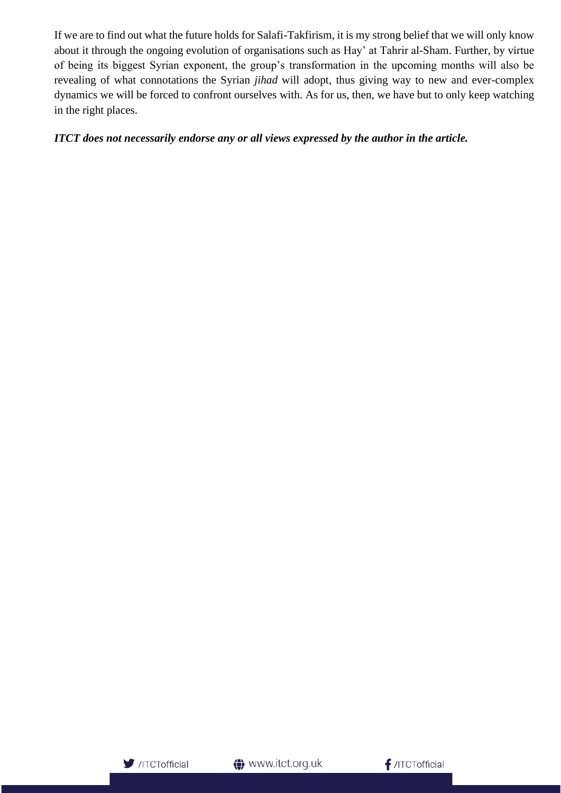If we are to find out what the future holds for Salafi-Takfirism, it is my strong belief that we will only know about it through the ongoing evolution of organisations such as Hay' at Tahrir al-Sham. Further, by virtue of being its biggest Syrian exponent, the group's transformation in the upcoming months will also be revealing of what connotations the Syrian *jihad* will adopt, thus giving way to new and ever-complex dynamics we will be forced to confront ourselves with. As for us, then, we have but to only keep watching in the right places.

#### *ITCT does not necessarily endorse any or all views expressed by the author in the article.*